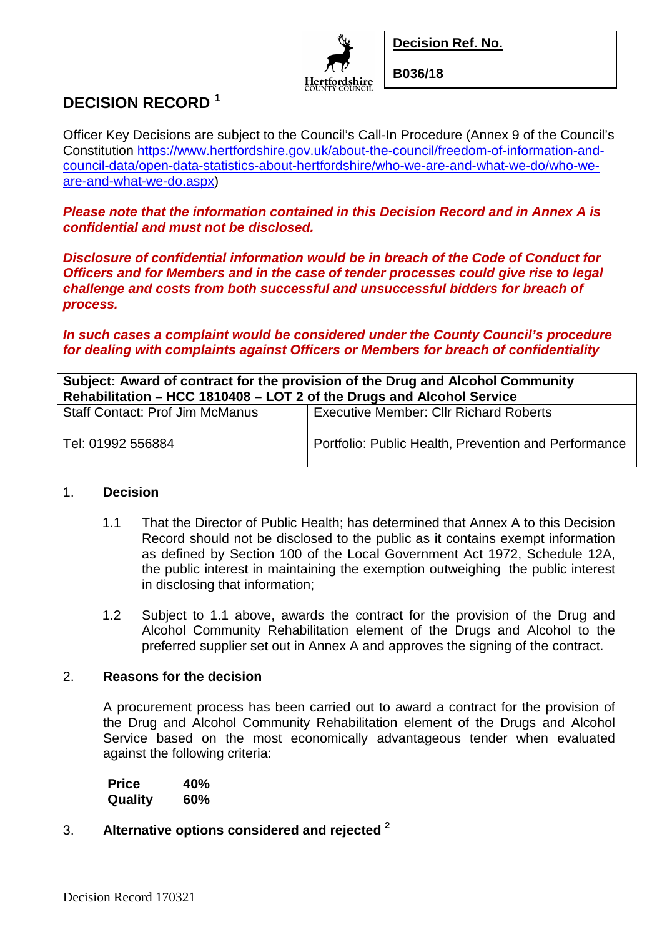**Decision Ref. No.**



**B036/18**

## **DECISION RECORD <sup>1</sup>**

Officer Key Decisions are subject to the Council's Call-In Procedure (Annex 9 of the Council's Constitution https://www.hertfordshire.gov.uk/about-the-council/freedom-of-information-andcouncil-data/open-data-statistics-about-hertfordshire/who-we-are-and-what-we-do/who-weare-and-what-we-do.aspx)

*Please note that the information contained in this Decision Record and in Annex A is confidential and must not be disclosed.*

*Disclosure of confidential information would be in breach of the Code of Conduct for Officers and for Members and in the case of tender processes could give rise to legal challenge and costs from both successful and unsuccessful bidders for breach of process.*

*In such cases a complaint would be considered under the County Council's procedure for dealing with complaints against Officers or Members for breach of confidentiality*

| Subject: Award of contract for the provision of the Drug and Alcohol Community |                                                      |  |
|--------------------------------------------------------------------------------|------------------------------------------------------|--|
| Rehabilitation - HCC 1810408 - LOT 2 of the Drugs and Alcohol Service          |                                                      |  |
| <b>Staff Contact: Prof Jim McManus</b>                                         | <b>Executive Member: Cllr Richard Roberts</b>        |  |
| Tel: 01992 556884                                                              | Portfolio: Public Health, Prevention and Performance |  |

# 1. **Decision**

- 1.1 That the Director of Public Health; has determined that Annex A to this Decision Record should not be disclosed to the public as it contains exempt information as defined by Section 100 of the Local Government Act 1972, Schedule 12A, the public interest in maintaining the exemption outweighing the public interest in disclosing that information;
	- 1.2 Subject to 1.1 above, awards the contract for the provision of the Drug and Alcohol Community Rehabilitation element of the Drugs and Alcohol to the preferred supplier set out in Annex A and approves the signing of the contract.

### 2. **Reasons for the decision**

A procurement process has been carried out to award a contract for the provision of the Drug and Alcohol Community Rehabilitation element of the Drugs and Alcohol Service based on the most economically advantageous tender when evaluated against the following criteria:

| Price   | 40% |
|---------|-----|
| Quality | 60% |

3. **Alternative options considered and rejected <sup>2</sup>**